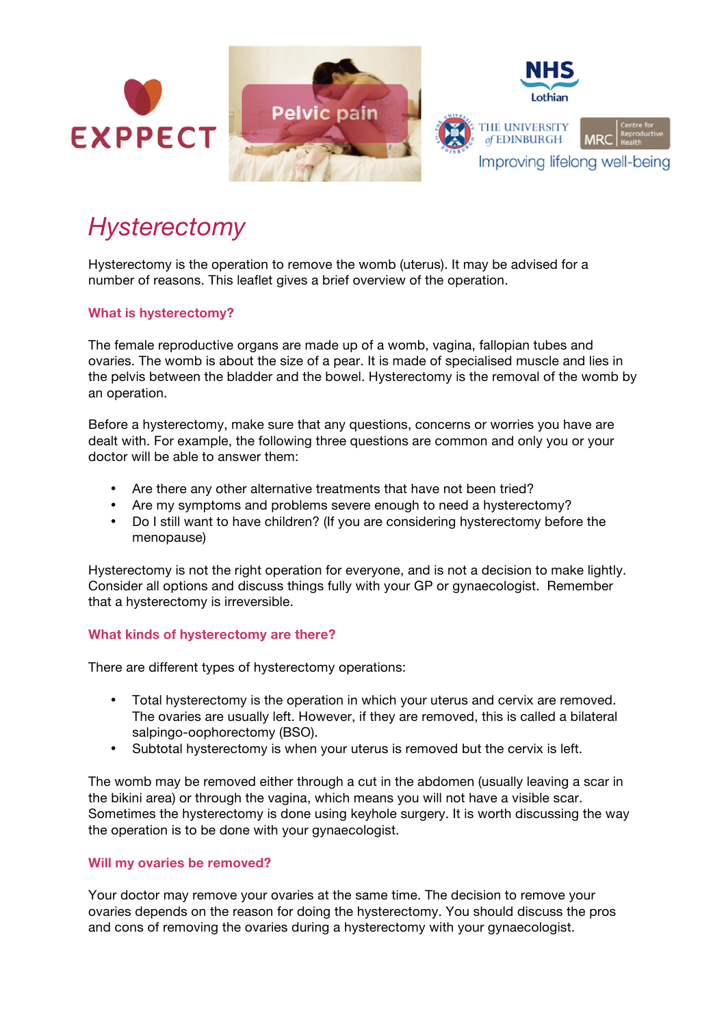

# *Hysterectomy*

Hysterectomy is the operation to remove the womb (uterus). It may be advised for a number of reasons. This leaflet gives a brief overview of the operation.

# **What is hysterectomy?**

The female reproductive organs are made up of a womb, vagina, fallopian tubes and ovaries. The womb is about the size of a pear. It is made of specialised muscle and lies in the pelvis between the bladder and the bowel. Hysterectomy is the removal of the womb by an operation.

Before a hysterectomy, make sure that any questions, concerns or worries you have are dealt with. For example, the following three questions are common and only you or your doctor will be able to answer them:

- Are there any other alternative treatments that have not been tried?
- Are my symptoms and problems severe enough to need a hysterectomy?
- Do I still want to have children? (If you are considering hysterectomy before the menopause)

Hysterectomy is not the right operation for everyone, and is not a decision to make lightly. Consider all options and discuss things fully with your GP or gynaecologist. Remember that a hysterectomy is irreversible.

# **What kinds of hysterectomy are there?**

There are different types of hysterectomy operations:

- Total hysterectomy is the operation in which your uterus and cervix are removed. The ovaries are usually left. However, if they are removed, this is called a bilateral salpingo-oophorectomy (BSO).
- Subtotal hysterectomy is when your uterus is removed but the cervix is left.

The womb may be removed either through a cut in the abdomen (usually leaving a scar in the bikini area) or through the vagina, which means you will not have a visible scar. Sometimes the hysterectomy is done using keyhole surgery. It is worth discussing the way the operation is to be done with your gynaecologist.

## **Will my ovaries be removed?**

Your doctor may remove your ovaries at the same time. The decision to remove your ovaries depends on the reason for doing the hysterectomy. You should discuss the pros and cons of removing the ovaries during a hysterectomy with your gynaecologist.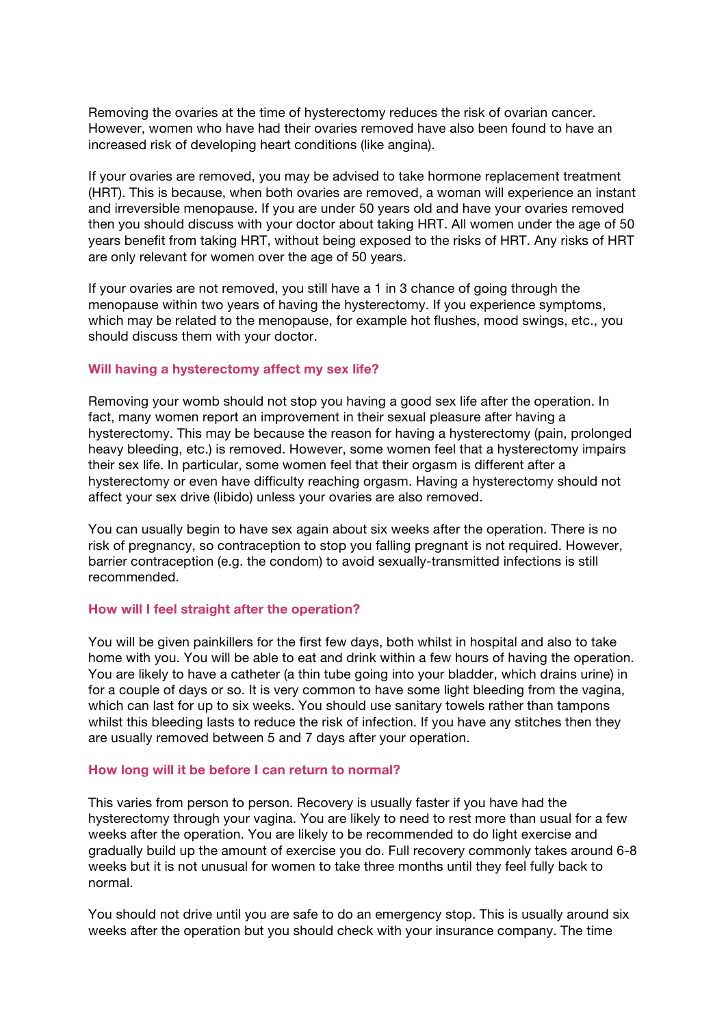Removing the ovaries at the time of hysterectomy reduces the risk of ovarian cancer. However, women who have had their ovaries removed have also been found to have an increased risk of developing heart conditions (like angina).

If your ovaries are removed, you may be advised to take hormone replacement treatment (HRT). This is because, when both ovaries are removed, a woman will experience an instant and irreversible menopause. If you are under 50 years old and have your ovaries removed then you should discuss with your doctor about taking HRT. All women under the age of 50 years benefit from taking HRT, without being exposed to the risks of HRT. Any risks of HRT are only relevant for women over the age of 50 years.

If your ovaries are not removed, you still have a 1 in 3 chance of going through the menopause within two years of having the hysterectomy. If you experience symptoms, which may be related to the menopause, for example hot flushes, mood swings, etc., you should discuss them with your doctor.

## **Will having a hysterectomy affect my sex life?**

Removing your womb should not stop you having a good sex life after the operation. In fact, many women report an improvement in their sexual pleasure after having a hysterectomy. This may be because the reason for having a hysterectomy (pain, prolonged heavy bleeding, etc.) is removed. However, some women feel that a hysterectomy impairs their sex life. In particular, some women feel that their orgasm is different after a hysterectomy or even have difficulty reaching orgasm. Having a hysterectomy should not affect your sex drive (libido) unless your ovaries are also removed.

You can usually begin to have sex again about six weeks after the operation. There is no risk of pregnancy, so contraception to stop you falling pregnant is not required. However, barrier contraception (e.g. the condom) to avoid sexually-transmitted infections is still recommended.

#### **How will I feel straight after the operation?**

You will be given painkillers for the first few days, both whilst in hospital and also to take home with you. You will be able to eat and drink within a few hours of having the operation. You are likely to have a catheter (a thin tube going into your bladder, which drains urine) in for a couple of days or so. It is very common to have some light bleeding from the vagina, which can last for up to six weeks. You should use sanitary towels rather than tampons whilst this bleeding lasts to reduce the risk of infection. If you have any stitches then they are usually removed between 5 and 7 days after your operation.

#### **How long will it be before I can return to normal?**

This varies from person to person. Recovery is usually faster if you have had the hysterectomy through your vagina. You are likely to need to rest more than usual for a few weeks after the operation. You are likely to be recommended to do light exercise and gradually build up the amount of exercise you do. Full recovery commonly takes around 6-8 weeks but it is not unusual for women to take three months until they feel fully back to normal.

You should not drive until you are safe to do an emergency stop. This is usually around six weeks after the operation but you should check with your insurance company. The time